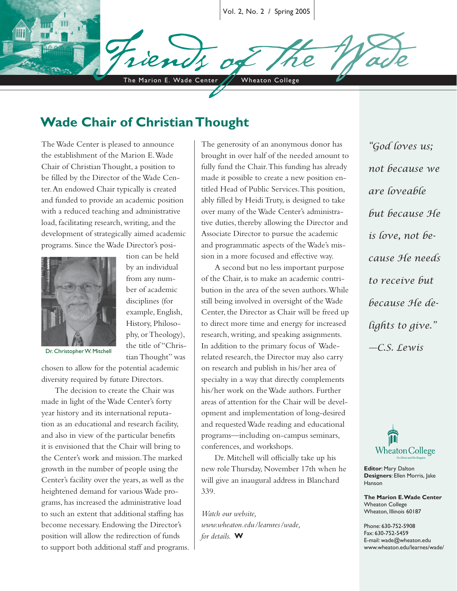Vol. 2, No. 2 / Spring 2005

The Marion E. Wade Center / Wheaton College

### **Wade Chair of Christian Thought**

The Wade Center is pleased to announce the establishment of the Marion E. Wade Chair of Christian Thought, a position to be filled by the Director of the Wade Center. An endowed Chair typically is created and funded to provide an academic position with a reduced teaching and administrative load, facilitating research, writing, and the development of strategically aimed academic programs. Since the Wade Director's posi-



tion can be held by an individual from any number of academic disciplines (for example, English, History, Philosophy, or Theology), the title of "Christian Thought" was

Dr. Christopher W. Mitchell

chosen to allow for the potential academic diversity required by future Directors.

The decision to create the Chair was made in light of the Wade Center's forty year history and its international reputation as an educational and research facility, and also in view of the particular benefits it is envisioned that the Chair will bring to the Center's work and mission. The marked growth in the number of people using the Center's facility over the years, as well as the heightened demand for various Wade programs, has increased the administrative load to such an extent that additional staffing has become necessary. Endowing the Director's position will allow the redirection of funds to support both additional staff and programs.

The generosity of an anonymous donor has brought in over half of the needed amount to fully fund the Chair. This funding has already made it possible to create a new position entitled Head of Public Services. This position, ably filled by Heidi Truty, is designed to take over many of the Wade Center's administrative duties, thereby allowing the Director and Associate Director to pursue the academic and programmatic aspects of the Wade's mission in a more focused and effective way.

A second but no less important purpose of the Chair, is to make an academic contribution in the area of the seven authors. While still being involved in oversight of the Wade Center, the Director as Chair will be freed up to direct more time and energy for increased research, writing, and speaking assignments. In addition to the primary focus of Waderelated research, the Director may also carry on research and publish in his/her area of specialty in a way that directly complements his/her work on the Wade authors. Further areas of attention for the Chair will be development and implementation of long-desired and requested Wade reading and educational programs—including on-campus seminars, conferences, and workshops.

Dr. Mitchell will officially take up his new role Thursday, November 17th when he will give an inaugural address in Blanchard 339.

*Watch our website, www.wheaton.edu/learnres/wade, for details.* **W**

*"God loves us; not because we are loveable but because He is love, not because He needs to receive but because He delights to give." —C.S. Lewis* 



**Editor**: Mary Dalton **Designers**: Ellen Morris, Jake Hanson

**The Marion E. Wade Center** Wheaton College Wheaton, Illinois 60187

Phone: 630-752-5908 Fax: 630-752-5459 E-mail: wade@wheaton.edu www.wheaton.edu/learnes/wade/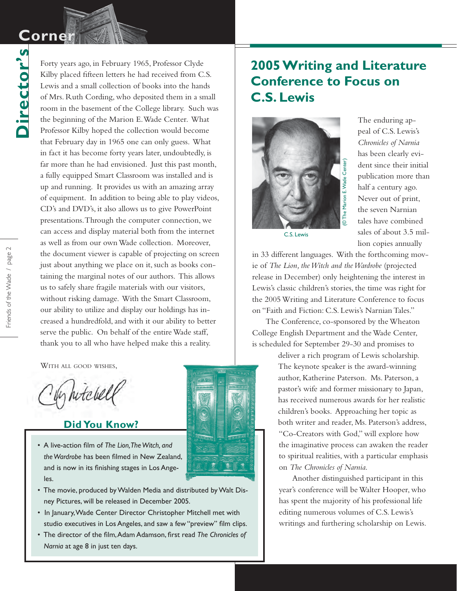# **Corne**

Director's **Director's**

Forty years ago, in February 1965, Professor Clyde Kilby placed fifteen letters he had received from C.S. Lewis and a small collection of books into the hands of Mrs. Ruth Cording, who deposited them in a small room in the basement of the College library. Such was the beginning of the Marion E. Wade Center. What Professor Kilby hoped the collection would become that February day in 1965 one can only guess. What in fact it has become forty years later, undoubtedly, is far more than he had envisioned. Just this past month, a fully equipped Smart Classroom was installed and is up and running. It provides us with an amazing array of equipment. In addition to being able to play videos, CD's and DVD's, it also allows us to give PowerPoint presentations. Through the computer connection, we can access and display material both from the internet as well as from our own Wade collection. Moreover, the document viewer is capable of projecting on screen just about anything we place on it, such as books containing the marginal notes of our authors. This allows us to safely share fragile materials with our visitors, without risking damage. With the Smart Classroom, our ability to utilize and display our holdings has increased a hundredfold, and with it our ability to better serve the public. On behalf of the entire Wade staff, thank you to all who have helped make this a reality.

WITH ALL GOOD WISHES,

In hitcher

#### **Did You Know?**

• A live-action film of *The Lion*, *The Witch*, and the Wardrobe has been filmed in New Zealand, and is now in its finishing stages in Los Angeles.



- The movie, produced by Walden Media and distributed by Walt Dis ney Pictures, will be released in December 2005.
- In January, Wade Center Director Christopher Mitchell met with studio executives in Los Angeles, and saw a few "preview" film clips.
- The director of the film, Adam Adamson, first read The Chronicles of  *Narnia* at age 8 in just ten days.

## **2005 Writing and Literature Conference to Focus on C.S. Lewis**



The enduring appeal of C.S. Lewis's *Chronicles of Narnia* has been clearly evident since their initial publication more than half a century ago. Never out of print, the seven Narnian tales have combined sales of about 3.5 million copies annually

C.S. Lewis

in 33 different languages. With the forthcoming movie of *The Lion, the Witch and the Wardrobe* (projected release in December) only heightening the interest in Lewis's classic children's stories, the time was right for the 2005 Writing and Literature Conference to focus on "Faith and Fiction: C.S. Lewis's Narnian Tales."

The Conference, co-sponsored by the Wheaton College English Department and the Wade Center, is scheduled for September 29-30 and promises to

> deliver a rich program of Lewis scholarship. The keynote speaker is the award-winning author, Katherine Paterson. Ms. Paterson, a pastor's wife and former missionary to Japan, has received numerous awards for her realistic children's books. Approaching her topic as both writer and reader, Ms. Paterson's address, "Co-Creators with God," will explore how the imaginative process can awaken the reader to spiritual realities, with a particular emphasis on *The Chronicles of Narnia*.

Another distinguished participant in this year's conference will be Walter Hooper, who has spent the majority of his professional life editing numerous volumes of C.S. Lewis's writings and furthering scholarship on Lewis.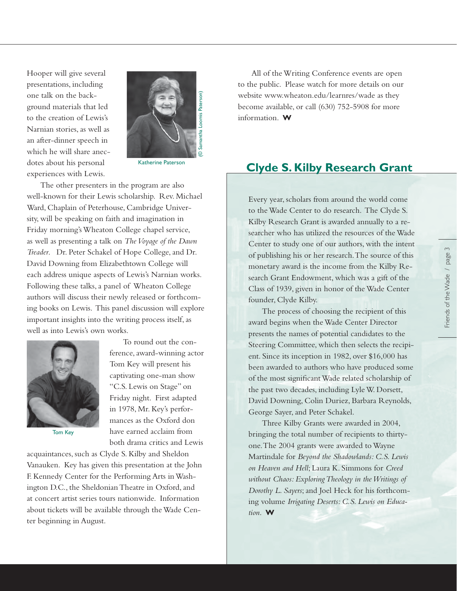Hooper will give several presentations, including one talk on the background materials that led to the creation of Lewis's Narnian stories, as well as an after-dinner speech in which he will share anecdotes about his personal experiences with Lewis.



The other presenters in the program are also well-known for their Lewis scholarship. Rev. Michael Ward, Chaplain of Peterhouse, Cambridge University, will be speaking on faith and imagination in Friday morning's Wheaton College chapel service, as well as presenting a talk on *The Voyage of the Dawn Treader*. Dr. Peter Schakel of Hope College, and Dr. David Downing from Elizabethtown College will each address unique aspects of Lewis's Narnian works. Following these talks, a panel of Wheaton College authors will discuss their newly released or forthcoming books on Lewis. This panel discussion will explore important insights into the writing process itself, as well as into Lewis's own works.



Tom Key

To round out the conference, award-winning actor Tom Key will present his captivating one-man show "C.S. Lewis on Stage" on Friday night. First adapted in 1978, Mr. Key's performances as the Oxford don have earned acclaim from both drama critics and Lewis

acquaintances, such as Clyde S. Kilby and Sheldon Vanauken. Key has given this presentation at the John F. Kennedy Center for the Performing Arts in Washington D.C., the Sheldonian Theatre in Oxford, and at concert artist series tours nationwide. Information about tickets will be available through the Wade Center beginning in August.

All of the Writing Conference events are open to the public. Please watch for more details on our website www.wheaton.edu/learnres/wade as they become available, or call (630) 752-5908 for more information. **W**

### **Clyde S. Kilby Research Grant**

Every year, scholars from around the world come to the Wade Center to do research. The Clyde S. Kilby Research Grant is awarded annually to a researcher who has utilized the resources of the Wade Center to study one of our authors, with the intent of publishing his or her research. The source of this monetary award is the income from the Kilby Research Grant Endowment, which was a gift of the Class of 1939, given in honor of the Wade Center founder, Clyde Kilby.

The process of choosing the recipient of this award begins when the Wade Center Director presents the names of potential candidates to the Steering Committee, which then selects the recipient. Since its inception in 1982, over \$16,000 has been awarded to authors who have produced some of the most significant Wade related scholarship of the past two decades, including Lyle W. Dorsett, David Downing, Colin Duriez, Barbara Reynolds, George Sayer, and Peter Schakel.

Three Kilby Grants were awarded in 2004, bringing the total number of recipients to thirtyone. The 2004 grants were awarded to Wayne Martindale for *Beyond the Shadowlands: C.S. Lewis on Heaven and Hell*; Laura K. Simmons for *Creed without Chaos: Exploring Theology in the Writings of Dorothy L. Sayers*; and Joel Heck for his forthcoming volume *Irrigating Deserts: C.S. Lewis on Education*. **W**